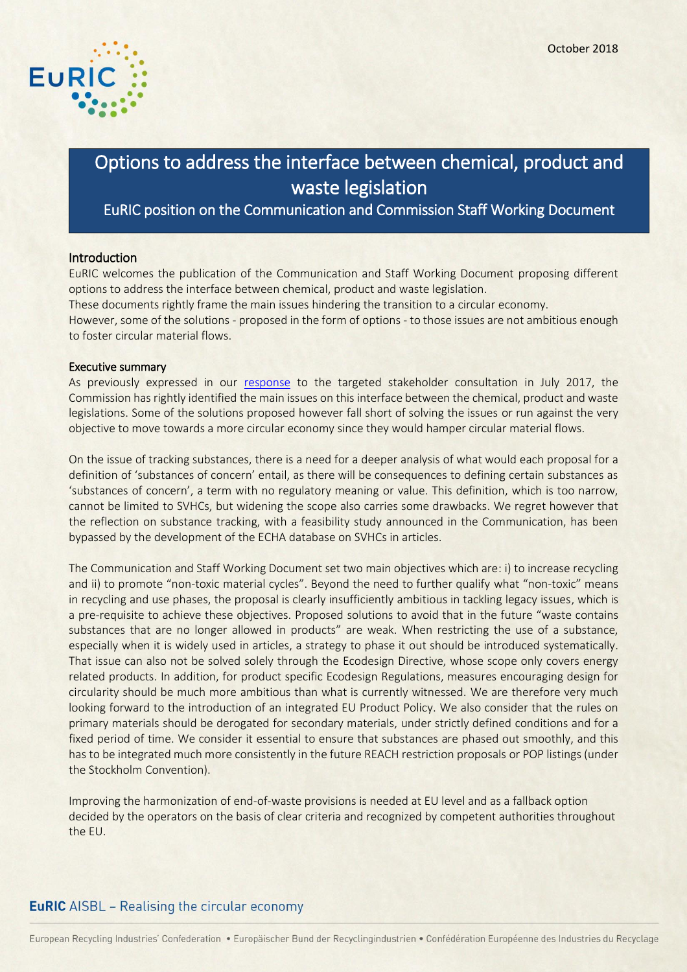

# Options to address the interface between chemical, product and waste legislation

## EuRIC position on the Communication and Commission Staff Working Document

#### Introduction

EuRIC welcomes the publication of the Communication and Staff Working Document proposing different options to address the interface between chemical, product and waste legislation.

These documents rightly frame the main issues hindering the transition to a circular economy.

However, some of the solutions - proposed in the form of options - to those issues are not ambitious enough to foster circular material flows.

#### Executive summary

As previously expressed in our [response](https://www.euric-aisbl.eu/position-papers/download/273/180/32) to the targeted stakeholder consultation in July 2017, the Commission has rightly identified the main issues on this interface between the chemical, product and waste legislations. Some of the solutions proposed however fall short of solving the issues or run against the very objective to move towards a more circular economy since they would hamper circular material flows.

On the issue of tracking substances, there is a need for a deeper analysis of what would each proposal for a definition of 'substances of concern' entail, as there will be consequences to defining certain substances as 'substances of concern', a term with no regulatory meaning or value. This definition, which is too narrow, cannot be limited to SVHCs, but widening the scope also carries some drawbacks. We regret however that the reflection on substance tracking, with a feasibility study announced in the Communication, has been bypassed by the development of the ECHA database on SVHCs in articles.

The Communication and Staff Working Document set two main objectives which are: i) to increase recycling and ii) to promote "non-toxic material cycles". Beyond the need to further qualify what "non-toxic" means in recycling and use phases, the proposal is clearly insufficiently ambitious in tackling legacy issues, which is a pre-requisite to achieve these objectives. Proposed solutions to avoid that in the future "waste contains substances that are no longer allowed in products" are weak. When restricting the use of a substance, especially when it is widely used in articles, a strategy to phase it out should be introduced systematically. That issue can also not be solved solely through the Ecodesign Directive, whose scope only covers energy related products. In addition, for product specific Ecodesign Regulations, measures encouraging design for circularity should be much more ambitious than what is currently witnessed. We are therefore very much looking forward to the introduction of an integrated EU Product Policy. We also consider that the rules on primary materials should be derogated for secondary materials, under strictly defined conditions and for a fixed period of time. We consider it essential to ensure that substances are phased out smoothly, and this has to be integrated much more consistently in the future REACH restriction proposals or POP listings (under the Stockholm Convention).

Improving the harmonization of end-of-waste provisions is needed at EU level and as a fallback option decided by the operators on the basis of clear criteria and recognized by competent authorities throughout the EU.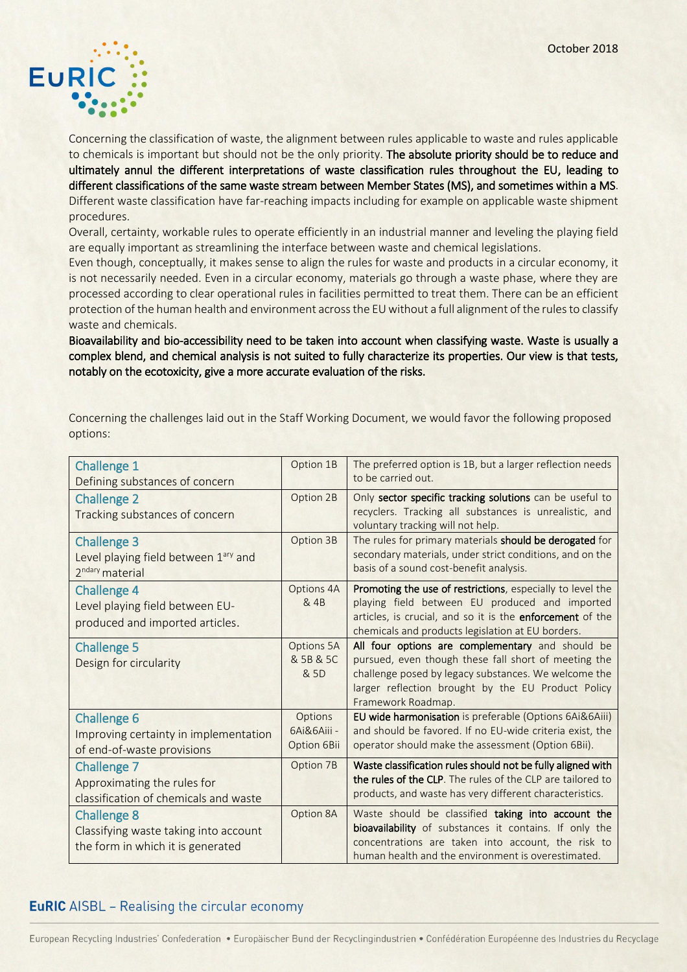

Concerning the classification of waste, the alignment between rules applicable to waste and rules applicable to chemicals is important but should not be the only priority. The absolute priority should be to reduce and ultimately annul the different interpretations of waste classification rules throughout the EU, leading to different classifications of the same waste stream between Member States (MS), and sometimes within a MS. Different waste classification have far-reaching impacts including for example on applicable waste shipment procedures.

Overall, certainty, workable rules to operate efficiently in an industrial manner and leveling the playing field are equally important as streamlining the interface between waste and chemical legislations.

Even though, conceptually, it makes sense to align the rules for waste and products in a circular economy, it is not necessarily needed. Even in a circular economy, materials go through a waste phase, where they are processed according to clear operational rules in facilities permitted to treat them. There can be an efficient protection of the human health and environment across the EU without a full alignment of the rules to classify waste and chemicals.

Bioavailability and bio-accessibility need to be taken into account when classifying waste. Waste is usually a complex blend, and chemical analysis is not suited to fully characterize its properties. Our view is that tests, notably on the ecotoxicity, give a more accurate evaluation of the risks.

| <b>Challenge 1</b><br>Defining substances of concern                                                  | Option 1B                             | The preferred option is 1B, but a larger reflection needs<br>to be carried out.                                                                                                                                                              |
|-------------------------------------------------------------------------------------------------------|---------------------------------------|----------------------------------------------------------------------------------------------------------------------------------------------------------------------------------------------------------------------------------------------|
| <b>Challenge 2</b><br>Tracking substances of concern                                                  | Option 2B                             | Only sector specific tracking solutions can be useful to<br>recyclers. Tracking all substances is unrealistic, and<br>voluntary tracking will not help.                                                                                      |
| <b>Challenge 3</b><br>Level playing field between 1 <sup>ary</sup> and<br>2 <sup>ndary</sup> material | Option 3B                             | The rules for primary materials should be derogated for<br>secondary materials, under strict conditions, and on the<br>basis of a sound cost-benefit analysis.                                                                               |
| <b>Challenge 4</b><br>Level playing field between EU-<br>produced and imported articles.              | Options 4A<br>& 4B                    | Promoting the use of restrictions, especially to level the<br>playing field between EU produced and imported<br>articles, is crucial, and so it is the enforcement of the<br>chemicals and products legislation at EU borders.               |
| <b>Challenge 5</b><br>Design for circularity                                                          | Options 5A<br>& 5B & 5C<br>& 5D       | All four options are complementary and should be<br>pursued, even though these fall short of meeting the<br>challenge posed by legacy substances. We welcome the<br>larger reflection brought by the EU Product Policy<br>Framework Roadmap. |
| <b>Challenge 6</b><br>Improving certainty in implementation<br>of end-of-waste provisions             | Options<br>6Ai&6Aiii -<br>Option 6Bii | EU wide harmonisation is preferable (Options 6Ai&6Aiii)<br>and should be favored. If no EU-wide criteria exist, the<br>operator should make the assessment (Option 6Bii).                                                                    |
| <b>Challenge 7</b><br>Approximating the rules for<br>classification of chemicals and waste            | Option 7B                             | Waste classification rules should not be fully aligned with<br>the rules of the CLP. The rules of the CLP are tailored to<br>products, and waste has very different characteristics.                                                         |
| <b>Challenge 8</b><br>Classifying waste taking into account<br>the form in which it is generated      | Option 8A                             | Waste should be classified taking into account the<br>bioavailability of substances it contains. If only the<br>concentrations are taken into account, the risk to<br>human health and the environment is overestimated.                     |

Concerning the challenges laid out in the Staff Working Document, we would favor the following proposed options: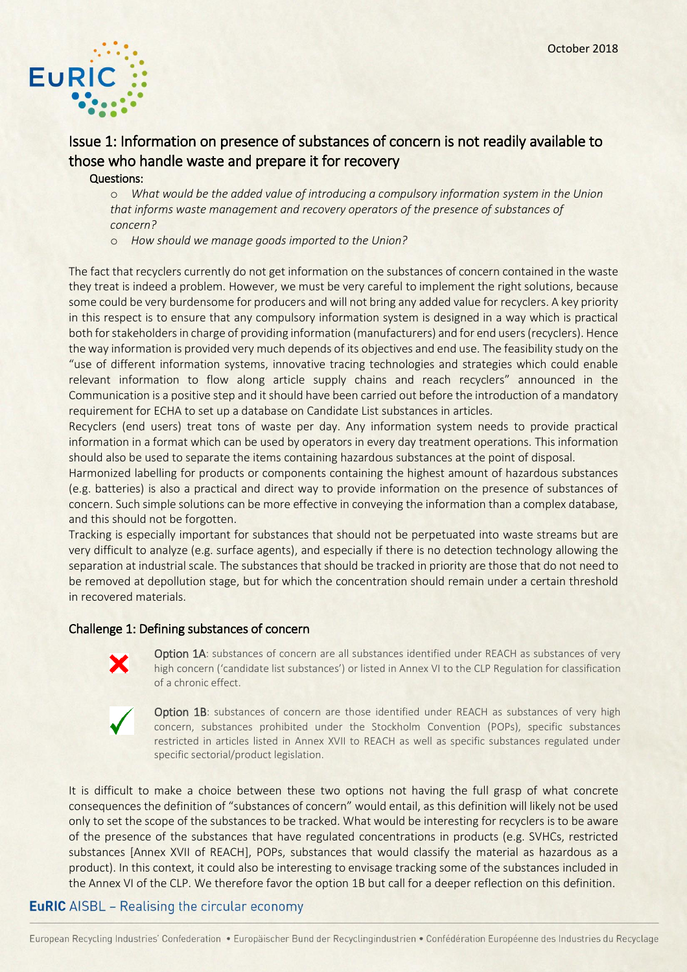

# Issue 1: Information on presence of substances of concern is not readily available to those who handle waste and prepare it for recovery

#### Questions:

o *What would be the added value of introducing a compulsory information system in the Union that informs waste management and recovery operators of the presence of substances of concern?*

o *How should we manage goods imported to the Union?*

The fact that recyclers currently do not get information on the substances of concern contained in the waste they treat is indeed a problem. However, we must be very careful to implement the right solutions, because some could be very burdensome for producers and will not bring any added value for recyclers. A key priority in this respect is to ensure that any compulsory information system is designed in a way which is practical both for stakeholders in charge of providing information (manufacturers) and for end users (recyclers). Hence the way information is provided very much depends of its objectives and end use. The feasibility study on the "use of different information systems, innovative tracing technologies and strategies which could enable relevant information to flow along article supply chains and reach recyclers" announced in the Communication is a positive step and it should have been carried out before the introduction of a mandatory requirement for ECHA to set up a database on Candidate List substances in articles.

Recyclers (end users) treat tons of waste per day. Any information system needs to provide practical information in a format which can be used by operators in every day treatment operations. This information should also be used to separate the items containing hazardous substances at the point of disposal.

Harmonized labelling for products or components containing the highest amount of hazardous substances (e.g. batteries) is also a practical and direct way to provide information on the presence of substances of concern. Such simple solutions can be more effective in conveying the information than a complex database, and this should not be forgotten.

Tracking is especially important for substances that should not be perpetuated into waste streams but are very difficult to analyze (e.g. surface agents), and especially if there is no detection technology allowing the separation at industrial scale. The substances that should be tracked in priority are those that do not need to be removed at depollution stage, but for which the concentration should remain under a certain threshold in recovered materials.

#### Challenge 1: Defining substances of concern



**Option 1A:** substances of concern are all substances identified under REACH as substances of very high concern ('candidate list substances') or listed in Annex VI to the CLP Regulation for classification of a chronic effect.



Option 1B: substances of concern are those identified under REACH as substances of very high concern, substances prohibited under the Stockholm Convention (POPs), specific substances restricted in articles listed in Annex XVII to REACH as well as specific substances regulated under specific sectorial/product legislation.

It is difficult to make a choice between these two options not having the full grasp of what concrete consequences the definition of "substances of concern" would entail, as this definition will likely not be used only to set the scope of the substances to be tracked. What would be interesting for recyclers is to be aware of the presence of the substances that have regulated concentrations in products (e.g. SVHCs, restricted substances [Annex XVII of REACH], POPs, substances that would classify the material as hazardous as a product). In this context, it could also be interesting to envisage tracking some of the substances included in the Annex VI of the CLP. We therefore favor the option 1B but call for a deeper reflection on this definition.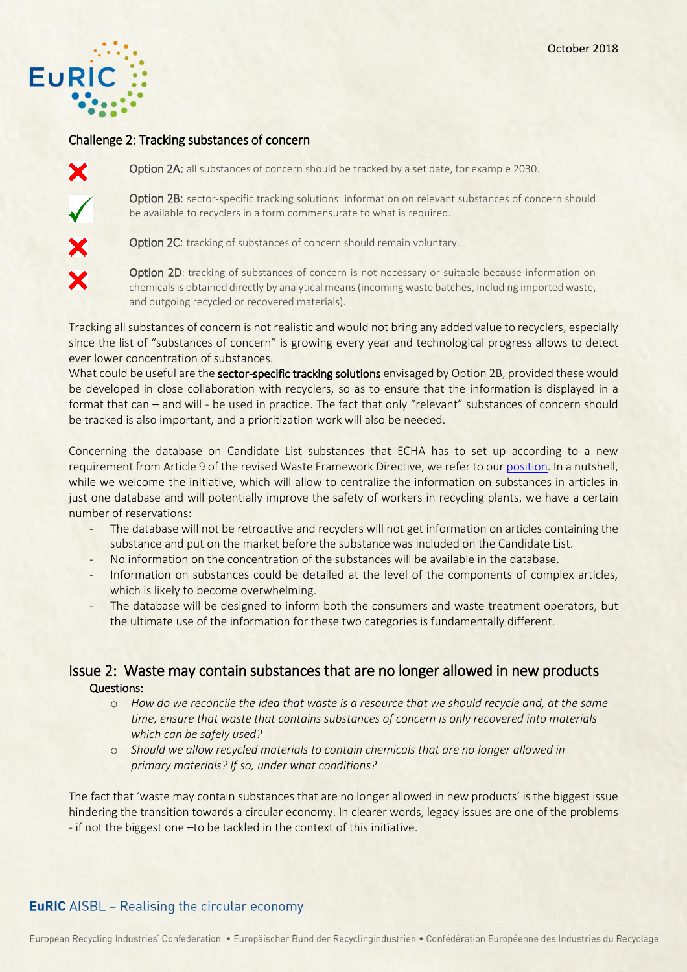

#### Challenge 2: Tracking substances of concern



Option 2A: all substances of concern should be tracked by a set date, for example 2030.

Option 2B: sector-specific tracking solutions: information on relevant substances of concern should be available to recyclers in a form commensurate to what is required.

Option 2C: tracking of substances of concern should remain voluntary.

Option 2D: tracking of substances of concern is not necessary or suitable because information on chemicals is obtained directly by analytical means (incoming waste batches, including imported waste, and outgoing recycled or recovered materials).

Tracking all substances of concern is not realistic and would not bring any added value to recyclers, especially since the list of "substances of concern" is growing every year and technological progress allows to detect ever lower concentration of substances.

What could be useful are the sector-specific tracking solutions envisaged by Option 2B, provided these would be developed in close collaboration with recyclers, so as to ensure that the information is displayed in a format that can – and will - be used in practice. The fact that only "relevant" substances of concern should be tracked is also important, and a prioritization work will also be needed.

Concerning the database on Candidate List substances that ECHA has to set up according to a new requirement from Article 9 of the revised Waste Framework Directive, we refer to ou[r position.](https://www.euric-aisbl.eu/images/PDF/EuRIC-Position_ECHA-Database-18.09.2018.pdf) In a nutshell, while we welcome the initiative, which will allow to centralize the information on substances in articles in just one database and will potentially improve the safety of workers in recycling plants, we have a certain number of reservations:

- The database will not be retroactive and recyclers will not get information on articles containing the substance and put on the market before the substance was included on the Candidate List.
- No information on the concentration of the substances will be available in the database.
- Information on substances could be detailed at the level of the components of complex articles, which is likely to become overwhelming.
- The database will be designed to inform both the consumers and waste treatment operators, but the ultimate use of the information for these two categories is fundamentally different.

## Issue 2: Waste may contain substances that are no longer allowed in new products Questions:

- o *How do we reconcile the idea that waste is a resource that we should recycle and, at the same time, ensure that waste that contains substances of concern is only recovered into materials which can be safely used?*
- o *Should we allow recycled materials to contain chemicals that are no longer allowed in primary materials? If so, under what conditions?*

The fact that 'waste may contain substances that are no longer allowed in new products' is the biggest issue hindering the transition towards a circular economy. In clearer words, legacy issues are one of the problems - if not the biggest one –to be tackled in the context of this initiative.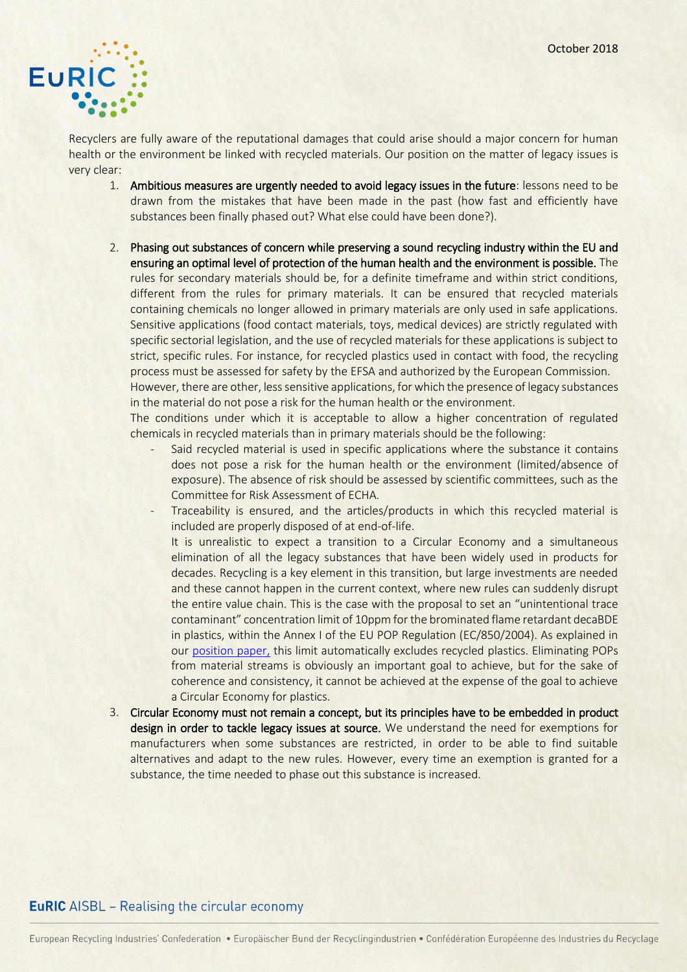

Recyclers are fully aware of the reputational damages that could arise should a major concern for human health or the environment be linked with recycled materials. Our position on the matter of legacy issues is very clear:

- 1. Ambitious measures are urgently needed to avoid legacy issues in the future: lessons need to be drawn from the mistakes that have been made in the past (how fast and efficiently have substances been finally phased out? What else could have been done?).
- 2. Phasing out substances of concern while preserving a sound recycling industry within the EU and ensuring an optimal level of protection of the human health and the environment is possible. The rules for secondary materials should be, for a definite timeframe and within strict conditions, different from the rules for primary materials. It can be ensured that recycled materials containing chemicals no longer allowed in primary materials are only used in safe applications. Sensitive applications (food contact materials, toys, medical devices) are strictly regulated with specific sectorial legislation, and the use of recycled materials for these applications is subject to strict, specific rules. For instance, for recycled plastics used in contact with food, the recycling process must be assessed for safety by the EFSA and authorized by the European Commission.

However, there are other, less sensitive applications, for which the presence of legacy substances in the material do not pose a risk for the human health or the environment.

The conditions under which it is acceptable to allow a higher concentration of regulated chemicals in recycled materials than in primary materials should be the following:

- Said recycled material is used in specific applications where the substance it contains does not pose a risk for the human health or the environment (limited/absence of exposure). The absence of risk should be assessed by scientific committees, such as the Committee for Risk Assessment of ECHA.
- Traceability is ensured, and the articles/products in which this recycled material is included are properly disposed of at end-of-life.
- It is unrealistic to expect a transition to a Circular Economy and a simultaneous elimination of all the legacy substances that have been widely used in products for decades. Recycling is a key element in this transition, but large investments are needed and these cannot happen in the current context, where new rules can suddenly disrupt the entire value chain. This is the case with the proposal to set an "unintentional trace contaminant" concentration limit of 10ppm for the brominated flame retardant decaBDE in plastics, within the Annex I of the EU POP Regulation (EC/850/2004). As explained in our [position paper,](https://www.euric-aisbl.eu/images/Press_releases/JointPositionPaper_RecastOfPOPRegulation_DecaBDE_Sept.2018.pdf) this limit automatically excludes recycled plastics. Eliminating POPs from material streams is obviously an important goal to achieve, but for the sake of coherence and consistency, it cannot be achieved at the expense of the goal to achieve a Circular Economy for plastics.
- 3. Circular Economy must not remain a concept, but its principles have to be embedded in product design in order to tackle legacy issues at source. We understand the need for exemptions for manufacturers when some substances are restricted, in order to be able to find suitable alternatives and adapt to the new rules. However, every time an exemption is granted for a substance, the time needed to phase out this substance is increased.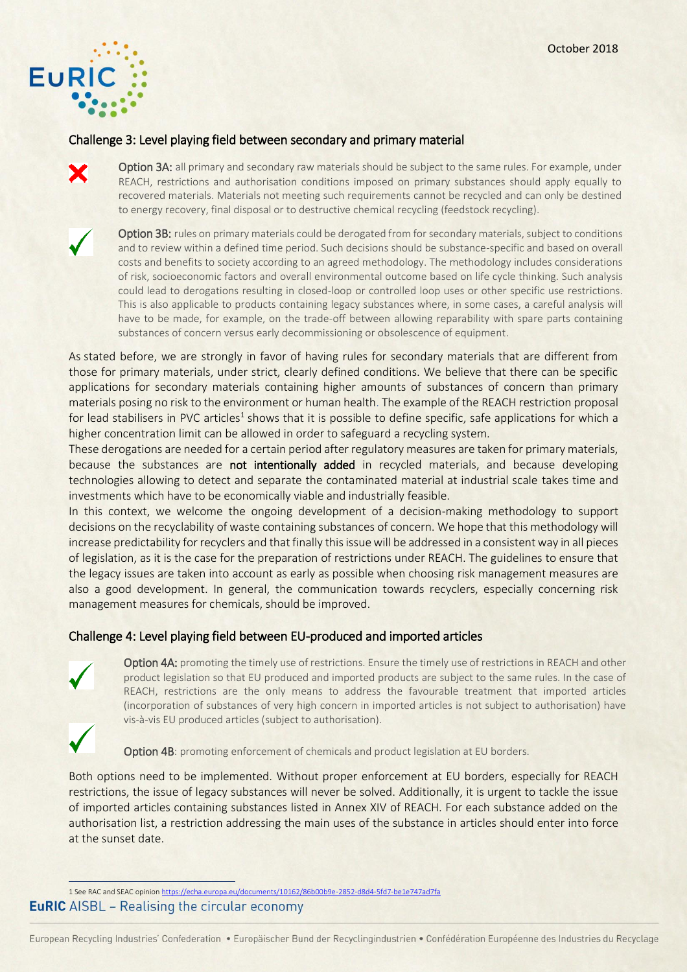

#### Challenge 3: Level playing field between secondary and primary material

Option 3A: all primary and secondary raw materials should be subject to the same rules. For example, under REACH, restrictions and authorisation conditions imposed on primary substances should apply equally to recovered materials. Materials not meeting such requirements cannot be recycled and can only be destined to energy recovery, final disposal or to destructive chemical recycling (feedstock recycling).



Option 3B: rules on primary materials could be derogated from for secondary materials, subject to conditions and to review within a defined time period. Such decisions should be substance-specific and based on overall costs and benefits to society according to an agreed methodology. The methodology includes considerations of risk, socioeconomic factors and overall environmental outcome based on life cycle thinking. Such analysis could lead to derogations resulting in closed-loop or controlled loop uses or other specific use restrictions. This is also applicable to products containing legacy substances where, in some cases, a careful analysis will have to be made, for example, on the trade-off between allowing reparability with spare parts containing substances of concern versus early decommissioning or obsolescence of equipment.

As stated before, we are strongly in favor of having rules for secondary materials that are different from those for primary materials, under strict, clearly defined conditions. We believe that there can be specific applications for secondary materials containing higher amounts of substances of concern than primary materials posing no risk to the environment or human health. The example of the REACH restriction proposal for lead stabilisers in PVC articles<sup>1</sup> shows that it is possible to define specific, safe applications for which a higher concentration limit can be allowed in order to safeguard a recycling system.

These derogations are needed for a certain period after regulatory measures are taken for primary materials, because the substances are not intentionally added in recycled materials, and because developing technologies allowing to detect and separate the contaminated material at industrial scale takes time and investments which have to be economically viable and industrially feasible.

In this context, we welcome the ongoing development of a decision-making methodology to support decisions on the recyclability of waste containing substances of concern. We hope that this methodology will increase predictability for recyclers and that finally this issue will be addressed in a consistent way in all pieces of legislation, as it is the case for the preparation of restrictions under REACH. The guidelines to ensure that the legacy issues are taken into account as early as possible when choosing risk management measures are also a good development. In general, the communication towards recyclers, especially concerning risk management measures for chemicals, should be improved.

## Challenge 4: Level playing field between EU-produced and imported articles



Option 4A: promoting the timely use of restrictions. Ensure the timely use of restrictions in REACH and other product legislation so that EU produced and imported products are subject to the same rules. In the case of REACH, restrictions are the only means to address the favourable treatment that imported articles (incorporation of substances of very high concern in imported articles is not subject to authorisation) have vis-à-vis EU produced articles (subject to authorisation).

Option 4B: promoting enforcement of chemicals and product legislation at EU borders.

Both options need to be implemented. Without proper enforcement at EU borders, especially for REACH restrictions, the issue of legacy substances will never be solved. Additionally, it is urgent to tackle the issue of imported articles containing substances listed in Annex XIV of REACH. For each substance added on the authorisation list, a restriction addressing the main uses of the substance in articles should enter into force at the sunset date.

 $\frac{1}{1}$ 1 See RAC and SEAC opinio[n https://echa.europa.eu/documents/10162/86b00b9e-2852-d8d4-5fd7-be1e747ad7fa](https://echa.europa.eu/documents/10162/86b00b9e-2852-d8d4-5fd7-be1e747ad7fa) **EuRIC** AISBL – Realising the circular economy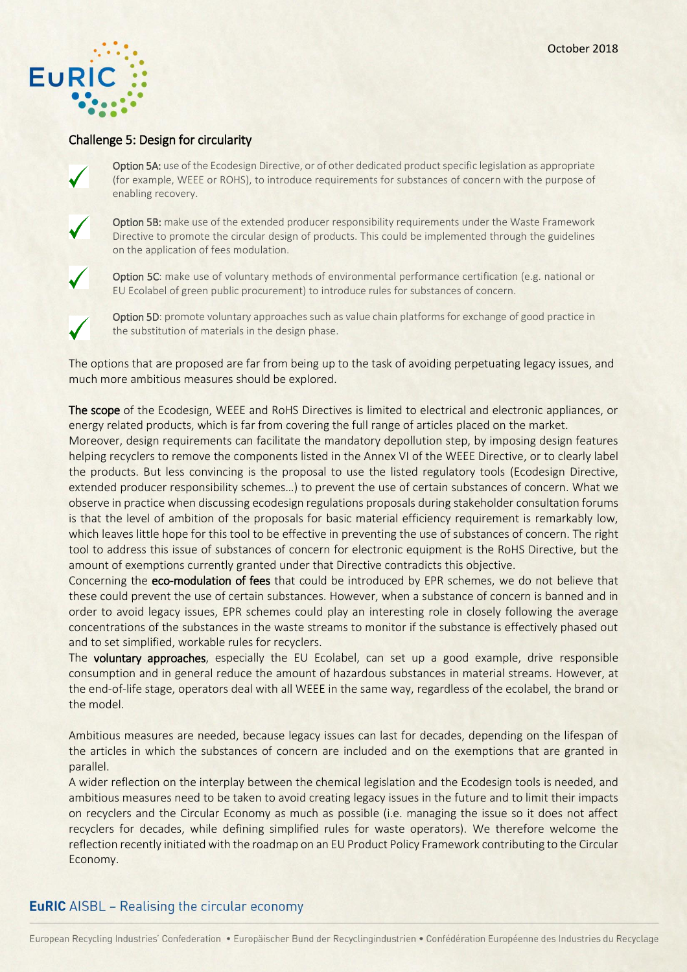

#### Challenge 5: Design for circularity



Option 5A: use of the Ecodesign Directive, or of other dedicated product specific legislation as appropriate (for example, WEEE or ROHS), to introduce requirements for substances of concern with the purpose of enabling recovery.



Option 5B: make use of the extended producer responsibility requirements under the Waste Framework Directive to promote the circular design of products. This could be implemented through the guidelines on the application of fees modulation.



Option 5C: make use of voluntary methods of environmental performance certification (e.g. national or EU Ecolabel of green public procurement) to introduce rules for substances of concern.



Option 5D: promote voluntary approaches such as value chain platforms for exchange of good practice in the substitution of materials in the design phase.

The options that are proposed are far from being up to the task of avoiding perpetuating legacy issues, and much more ambitious measures should be explored.

The scope of the Ecodesign, WEEE and RoHS Directives is limited to electrical and electronic appliances, or energy related products, which is far from covering the full range of articles placed on the market.

Moreover, design requirements can facilitate the mandatory depollution step, by imposing design features helping recyclers to remove the components listed in the Annex VI of the WEEE Directive, or to clearly label the products. But less convincing is the proposal to use the listed regulatory tools (Ecodesign Directive, extended producer responsibility schemes…) to prevent the use of certain substances of concern. What we observe in practice when discussing ecodesign regulations proposals during stakeholder consultation forums is that the level of ambition of the proposals for basic material efficiency requirement is remarkably low, which leaves little hope for this tool to be effective in preventing the use of substances of concern. The right tool to address this issue of substances of concern for electronic equipment is the RoHS Directive, but the amount of exemptions currently granted under that Directive contradicts this objective.

Concerning the eco-modulation of fees that could be introduced by EPR schemes, we do not believe that these could prevent the use of certain substances. However, when a substance of concern is banned and in order to avoid legacy issues, EPR schemes could play an interesting role in closely following the average concentrations of the substances in the waste streams to monitor if the substance is effectively phased out and to set simplified, workable rules for recyclers.

The voluntary approaches, especially the EU Ecolabel, can set up a good example, drive responsible consumption and in general reduce the amount of hazardous substances in material streams. However, at the end-of-life stage, operators deal with all WEEE in the same way, regardless of the ecolabel, the brand or the model.

Ambitious measures are needed, because legacy issues can last for decades, depending on the lifespan of the articles in which the substances of concern are included and on the exemptions that are granted in parallel.

A wider reflection on the interplay between the chemical legislation and the Ecodesign tools is needed, and ambitious measures need to be taken to avoid creating legacy issues in the future and to limit their impacts on recyclers and the Circular Economy as much as possible (i.e. managing the issue so it does not affect recyclers for decades, while defining simplified rules for waste operators). We therefore welcome the reflection recently initiated with the roadmap on an EU Product Policy Framework contributing to the Circular Economy.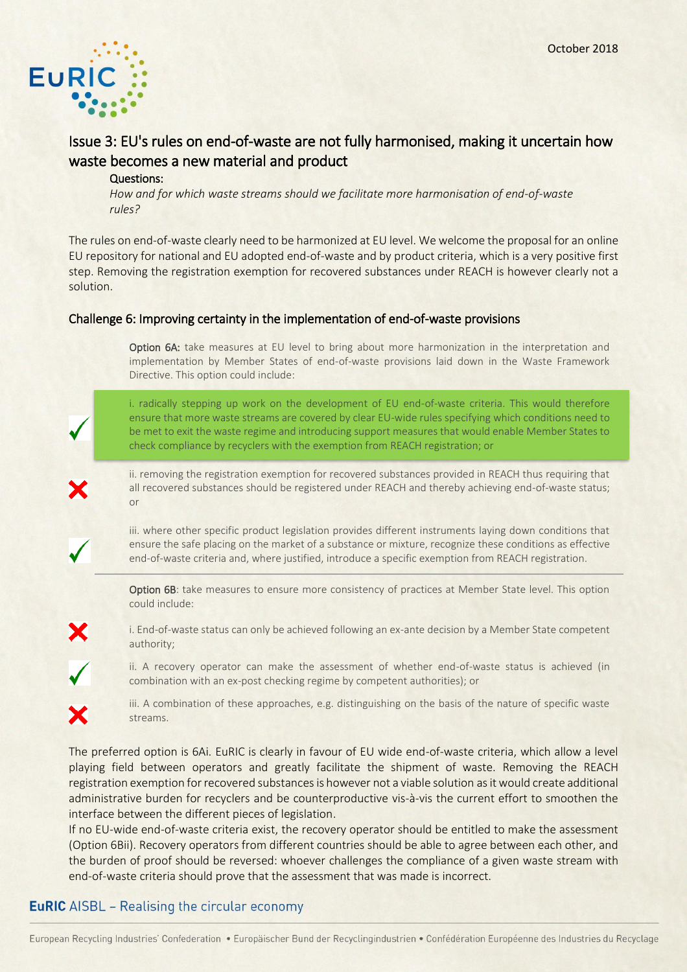

# Issue 3: EU's rules on end-of-waste are not fully harmonised, making it uncertain how waste becomes a new material and product

#### Questions:

*How and for which waste streams should we facilitate more harmonisation of end-of-waste rules?* 

The rules on end-of-waste clearly need to be harmonized at EU level. We welcome the proposal for an online EU repository for national and EU adopted end-of-waste and by product criteria, which is a very positive first step. Removing the registration exemption for recovered substances under REACH is however clearly not a solution.

#### Challenge 6: Improving certainty in the implementation of end-of-waste provisions

Option 6A: take measures at EU level to bring about more harmonization in the interpretation and implementation by Member States of end-of-waste provisions laid down in the Waste Framework Directive. This option could include:

i. radically stepping up work on the development of EU end-of-waste criteria. This would therefore ensure that more waste streams are covered by clear EU-wide rules specifying which conditions need to be met to exit the waste regime and introducing support measures that would enable Member States to check compliance by recyclers with the exemption from REACH registration; or

ii. removing the registration exemption for recovered substances provided in REACH thus requiring that all recovered substances should be registered under REACH and thereby achieving end-of-waste status; or



Option 6B: take measures to ensure more consistency of practices at Member State level. This option could include:

i. End-of-waste status can only be achieved following an ex-ante decision by a Member State competent authority;

ii. A recovery operator can make the assessment of whether end-of-waste status is achieved (in combination with an ex-post checking regime by competent authorities); or



iii. A combination of these approaches, e.g. distinguishing on the basis of the nature of specific waste streams.

The preferred option is 6Ai. EuRIC is clearly in favour of EU wide end-of-waste criteria, which allow a level playing field between operators and greatly facilitate the shipment of waste. Removing the REACH registration exemption for recovered substances is however not a viable solution as it would create additional administrative burden for recyclers and be counterproductive vis-à-vis the current effort to smoothen the interface between the different pieces of legislation.

If no EU-wide end-of-waste criteria exist, the recovery operator should be entitled to make the assessment (Option 6Bii). Recovery operators from different countries should be able to agree between each other, and the burden of proof should be reversed: whoever challenges the compliance of a given waste stream with end-of-waste criteria should prove that the assessment that was made is incorrect.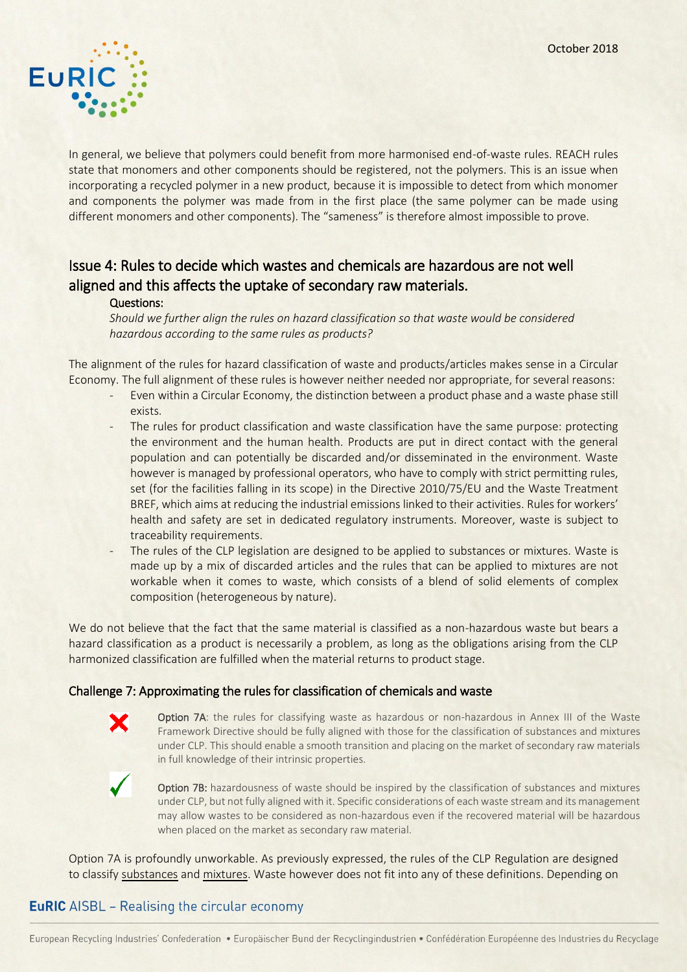

In general, we believe that polymers could benefit from more harmonised end-of-waste rules. REACH rules state that monomers and other components should be registered, not the polymers. This is an issue when incorporating a recycled polymer in a new product, because it is impossible to detect from which monomer and components the polymer was made from in the first place (the same polymer can be made using different monomers and other components). The "sameness" is therefore almost impossible to prove.

# Issue 4: Rules to decide which wastes and chemicals are hazardous are not well aligned and this affects the uptake of secondary raw materials.

#### Questions:

*Should we further align the rules on hazard classification so that waste would be considered hazardous according to the same rules as products?*

The alignment of the rules for hazard classification of waste and products/articles makes sense in a Circular Economy. The full alignment of these rules is however neither needed nor appropriate, for several reasons:

- Even within a Circular Economy, the distinction between a product phase and a waste phase still exists.
- The rules for product classification and waste classification have the same purpose: protecting the environment and the human health. Products are put in direct contact with the general population and can potentially be discarded and/or disseminated in the environment. Waste however is managed by professional operators, who have to comply with strict permitting rules, set (for the facilities falling in its scope) in the Directive 2010/75/EU and the Waste Treatment BREF, which aims at reducing the industrial emissions linked to their activities. Rules for workers' health and safety are set in dedicated regulatory instruments. Moreover, waste is subject to traceability requirements.
- The rules of the CLP legislation are designed to be applied to substances or mixtures. Waste is made up by a mix of discarded articles and the rules that can be applied to mixtures are not workable when it comes to waste, which consists of a blend of solid elements of complex composition (heterogeneous by nature).

We do not believe that the fact that the same material is classified as a non-hazardous waste but bears a hazard classification as a product is necessarily a problem, as long as the obligations arising from the CLP harmonized classification are fulfilled when the material returns to product stage.

#### Challenge 7: Approximating the rules for classification of chemicals and waste



Option 7A: the rules for classifying waste as hazardous or non-hazardous in Annex III of the Waste Framework Directive should be fully aligned with those for the classification of substances and mixtures under CLP. This should enable a smooth transition and placing on the market of secondary raw materials in full knowledge of their intrinsic properties.



Option 7B: hazardousness of waste should be inspired by the classification of substances and mixtures under CLP, but not fully aligned with it. Specific considerations of each waste stream and its management may allow wastes to be considered as non-hazardous even if the recovered material will be hazardous when placed on the market as secondary raw material.

Option 7A is profoundly unworkable. As previously expressed, the rules of the CLP Regulation are designed to classify substances and mixtures. Waste however does not fit into any of these definitions. Depending on